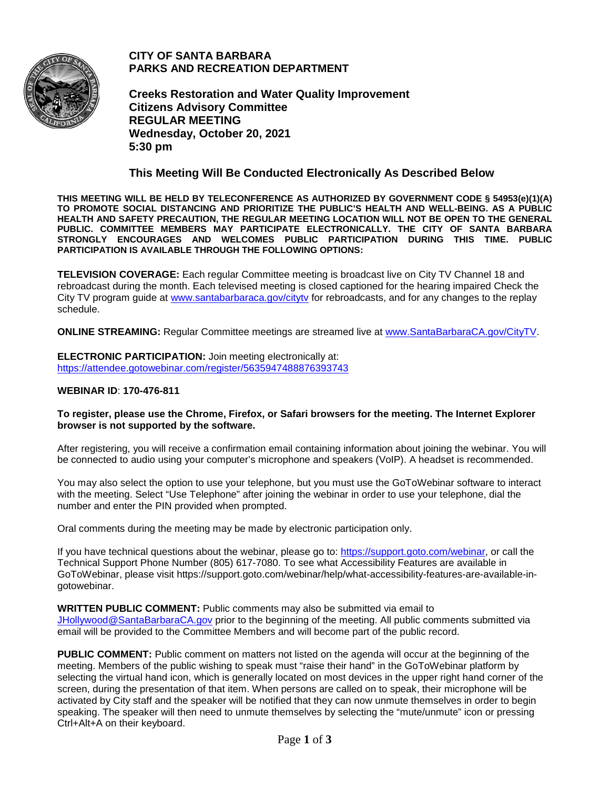

**CITY OF SANTA BARBARA PARKS AND RECREATION DEPARTMENT**

**Creeks Restoration and Water Quality Improvement Citizens Advisory Committee REGULAR MEETING Wednesday, October 20, 2021 5:30 pm**

## **This Meeting Will Be Conducted Electronically As Described Below**

**THIS MEETING WILL BE HELD BY TELECONFERENCE AS AUTHORIZED BY GOVERNMENT CODE § 54953(e)(1)(A) TO PROMOTE SOCIAL DISTANCING AND PRIORITIZE THE PUBLIC'S HEALTH AND WELL-BEING. AS A PUBLIC HEALTH AND SAFETY PRECAUTION, THE REGULAR MEETING LOCATION WILL NOT BE OPEN TO THE GENERAL PUBLIC. COMMITTEE MEMBERS MAY PARTICIPATE ELECTRONICALLY. THE CITY OF SANTA BARBARA STRONGLY ENCOURAGES AND WELCOMES PUBLIC PARTICIPATION DURING THIS TIME. PUBLIC PARTICIPATION IS AVAILABLE THROUGH THE FOLLOWING OPTIONS:**

**TELEVISION COVERAGE:** Each regular Committee meeting is broadcast live on City TV Channel 18 and rebroadcast during the month. Each televised meeting is closed captioned for the hearing impaired Check the City TV program guide at [www.santabarbaraca.gov/citytv](http://www.santabarbaraca.gov/citytv) for rebroadcasts, and for any changes to the replay schedule.

**ONLINE STREAMING:** Regular Committee meetings are streamed live at [www.SantaBarbaraCA.gov/CityTV.](http://www.santabarbaraca.gov/CityTV)

**ELECTRONIC PARTICIPATION:** Join meeting electronically at: <https://attendee.gotowebinar.com/register/5635947488876393743>

#### **WEBINAR ID**: **170-476-811**

#### **To register, please use the Chrome, Firefox, or Safari browsers for the meeting. The Internet Explorer browser is not supported by the software.**

After registering, you will receive a confirmation email containing information about joining the webinar. You will be connected to audio using your computer's microphone and speakers (VoIP). A headset is recommended.

You may also select the option to use your telephone, but you must use the GoToWebinar software to interact with the meeting. Select "Use Telephone" after joining the webinar in order to use your telephone, dial the number and enter the PIN provided when prompted.

Oral comments during the meeting may be made by electronic participation only.

If you have technical questions about the webinar, please go to: [https://support.goto.com/webinar,](https://support.goto.com/webinar) or call the Technical Support Phone Number (805) 617-7080. To see what Accessibility Features are available in GoToWebinar, please visit https://support.goto.com/webinar/help/what-accessibility-features-are-available-ingotowebinar.

**WRITTEN PUBLIC COMMENT:** Public comments may also be submitted via email to [JHollywood@SantaBarbaraCA.gov](mailto:JHollywood@SantaBarbaraCA.gov) prior to the beginning of the meeting. All public comments submitted via email will be provided to the Committee Members and will become part of the public record.

**PUBLIC COMMENT:** Public comment on matters not listed on the agenda will occur at the beginning of the meeting. Members of the public wishing to speak must "raise their hand" in the GoToWebinar platform by selecting the virtual hand icon, which is generally located on most devices in the upper right hand corner of the screen, during the presentation of that item. When persons are called on to speak, their microphone will be activated by City staff and the speaker will be notified that they can now unmute themselves in order to begin speaking. The speaker will then need to unmute themselves by selecting the "mute/unmute" icon or pressing Ctrl+Alt+A on their keyboard.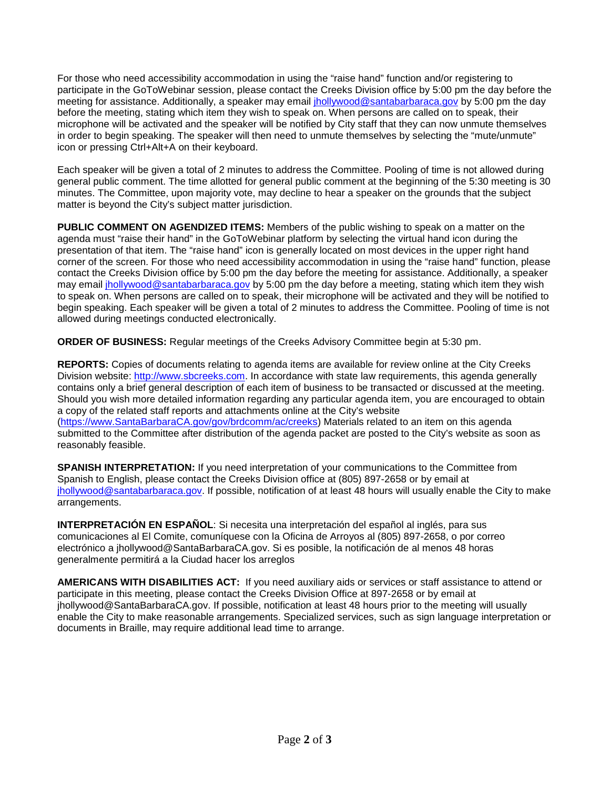For those who need accessibility accommodation in using the "raise hand" function and/or registering to participate in the GoToWebinar session, please contact the Creeks Division office by 5:00 pm the day before the meeting for assistance. Additionally, a speaker may email *jhollywood@santabarbaraca.gov* by 5:00 pm the day before the meeting, stating which item they wish to speak on. When persons are called on to speak, their microphone will be activated and the speaker will be notified by City staff that they can now unmute themselves in order to begin speaking. The speaker will then need to unmute themselves by selecting the "mute/unmute" icon or pressing Ctrl+Alt+A on their keyboard.

Each speaker will be given a total of 2 minutes to address the Committee. Pooling of time is not allowed during general public comment. The time allotted for general public comment at the beginning of the 5:30 meeting is 30 minutes. The Committee, upon majority vote, may decline to hear a speaker on the grounds that the subject matter is beyond the City's subject matter jurisdiction.

**PUBLIC COMMENT ON AGENDIZED ITEMS:** Members of the public wishing to speak on a matter on the agenda must "raise their hand" in the GoToWebinar platform by selecting the virtual hand icon during the presentation of that item. The "raise hand" icon is generally located on most devices in the upper right hand corner of the screen. For those who need accessibility accommodation in using the "raise hand" function, please contact the Creeks Division office by 5:00 pm the day before the meeting for assistance. Additionally, a speaker may email [jhollywood@santabarbaraca.gov](mailto:jhollywood@santabarbaraca.gov) by 5:00 pm the day before a meeting, stating which item they wish to speak on. When persons are called on to speak, their microphone will be activated and they will be notified to begin speaking. Each speaker will be given a total of 2 minutes to address the Committee. Pooling of time is not allowed during meetings conducted electronically.

**ORDER OF BUSINESS:** Regular meetings of the Creeks Advisory Committee begin at 5:30 pm.

**REPORTS:** Copies of documents relating to agenda items are available for review online at the City Creeks Division website: [http://www.sbcreeks.com.](http://www.sbcreeks.com/) In accordance with state law requirements, this agenda generally contains only a brief general description of each item of business to be transacted or discussed at the meeting. Should you wish more detailed information regarding any particular agenda item, you are encouraged to obtain a copy of the related staff reports and attachments online at the City's website [\(https://www.SantaBarbaraCA.gov/gov/brdcomm/ac/creeks\)](https://www.santabarbaraca.gov/gov/brdcomm/ac/creeks) Materials related to an item on this agenda submitted to the Committee after distribution of the agenda packet are posted to the City's website as soon as reasonably feasible.

**SPANISH INTERPRETATION:** If you need interpretation of your communications to the Committee from Spanish to English, please contact the Creeks Division office at (805) 897-2658 or by email at [jhollywood@santabarbaraca.gov.](mailto:jhollywood@santabarbaraca.gov) If possible, notification of at least 48 hours will usually enable the City to make arrangements.

**INTERPRETACIÓN EN ESPAÑOL**: Si necesita una interpretación del español al inglés, para sus comunicaciones al El Comite, comuníquese con la Oficina de Arroyos al (805) 897-2658, o por correo electrónico a jhollywood@SantaBarbaraCA.gov. Si es posible, la notificación de al menos 48 horas generalmente permitirá a la Ciudad hacer los arreglos

**AMERICANS WITH DISABILITIES ACT:** If you need auxiliary aids or services or staff assistance to attend or participate in this meeting, please contact the Creeks Division Office at 897-2658 or by email at jhollywood@SantaBarbaraCA.gov. If possible, notification at least 48 hours prior to the meeting will usually enable the City to make reasonable arrangements. Specialized services, such as sign language interpretation or documents in Braille, may require additional lead time to arrange.